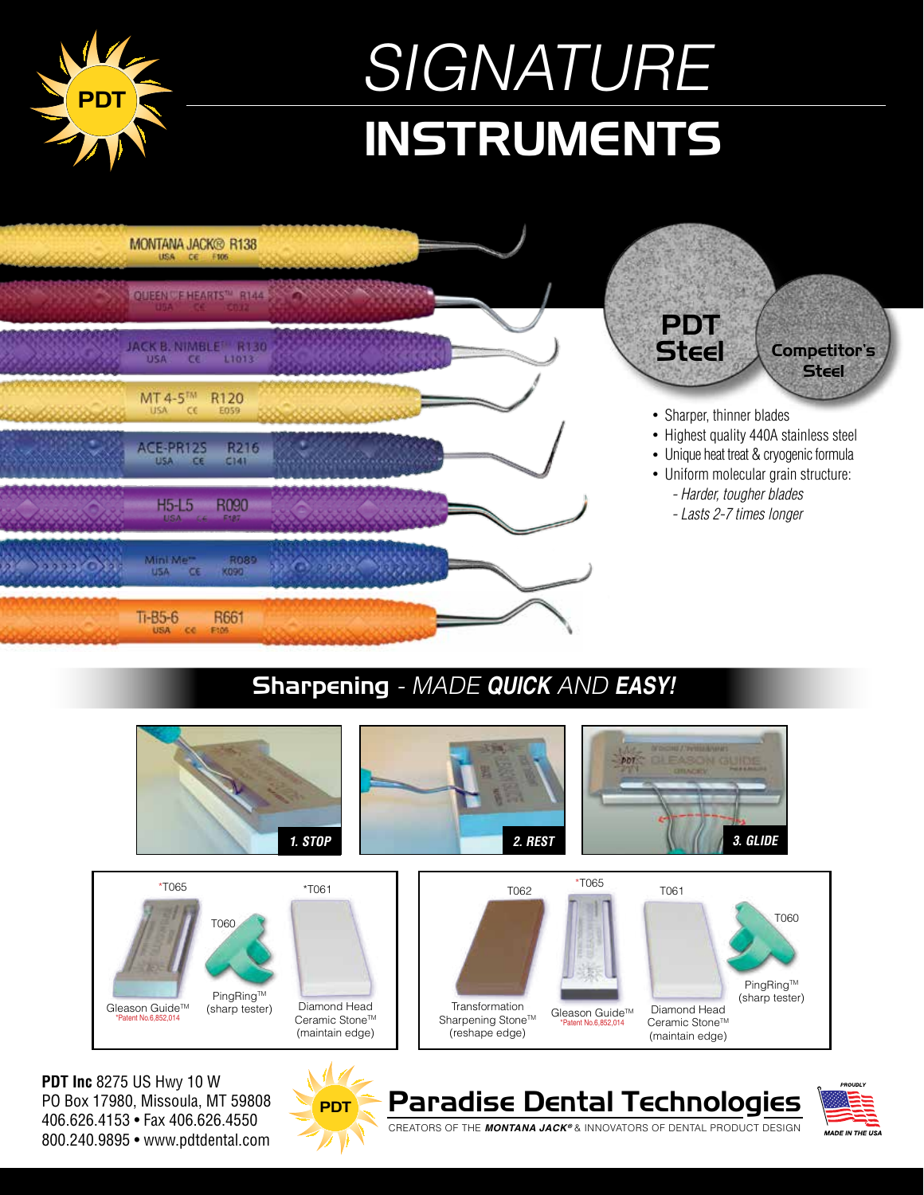

## Sharpening - MADE **QUICK** AND **EASY!**



**MADE IN THE US.** 

800.240.9895 • www.pdtdental.com